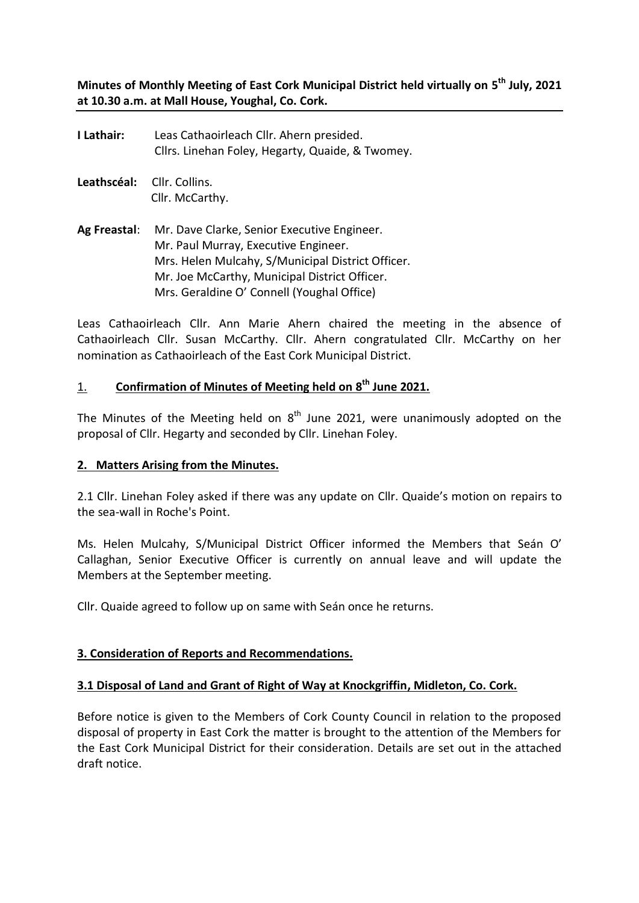**Minutes of Monthly Meeting of East Cork Municipal District held virtually on 5 th July, 2021 at 10.30 a.m. at Mall House, Youghal, Co. Cork.**

- **I Lathair:** Leas Cathaoirleach Cllr. Ahern presided. Cllrs. Linehan Foley, Hegarty, Quaide, & Twomey.
- **Leathscéal:** Cllr. Collins. Cllr. McCarthy.
- **Ag Freastal**: Mr. Dave Clarke, Senior Executive Engineer. Mr. Paul Murray, Executive Engineer. Mrs. Helen Mulcahy, S/Municipal District Officer. Mr. Joe McCarthy, Municipal District Officer. Mrs. Geraldine O' Connell (Youghal Office)

Leas Cathaoirleach Cllr. Ann Marie Ahern chaired the meeting in the absence of Cathaoirleach Cllr. Susan McCarthy. Cllr. Ahern congratulated Cllr. McCarthy on her nomination as Cathaoirleach of the East Cork Municipal District.

## 1. **Confirmation of Minutes of Meeting held on 8 th June 2021.**

The Minutes of the Meeting held on  $8^{th}$  June 2021, were unanimously adopted on the proposal of Cllr. Hegarty and seconded by Cllr. Linehan Foley.

#### **2. Matters Arising from the Minutes.**

2.1 Cllr. Linehan Foley asked if there was any update on Cllr. Quaide's motion on repairs to the sea-wall in Roche's Point.

Ms. Helen Mulcahy, S/Municipal District Officer informed the Members that Seán O' Callaghan, Senior Executive Officer is currently on annual leave and will update the Members at the September meeting.

Cllr. Quaide agreed to follow up on same with Seán once he returns.

### **3. Consideration of Reports and Recommendations.**

### **3.1 Disposal of Land and Grant of Right of Way at Knockgriffin, Midleton, Co. Cork.**

Before notice is given to the Members of Cork County Council in relation to the proposed disposal of property in East Cork the matter is brought to the attention of the Members for the East Cork Municipal District for their consideration. Details are set out in the attached draft notice.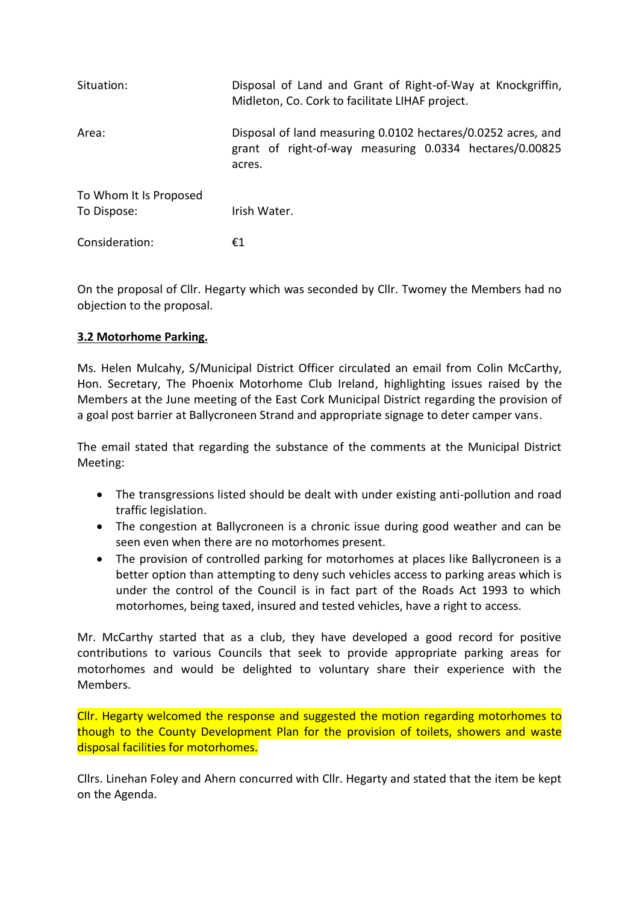| Situation:                            | Disposal of Land and Grant of Right-of-Way at Knockgriffin,<br>Midleton, Co. Cork to facilitate LIHAF project.                    |  |  |
|---------------------------------------|-----------------------------------------------------------------------------------------------------------------------------------|--|--|
| Area:                                 | Disposal of land measuring 0.0102 hectares/0.0252 acres, and<br>grant of right-of-way measuring 0.0334 hectares/0.00825<br>acres. |  |  |
| To Whom It Is Proposed<br>To Dispose: | Irish Water.                                                                                                                      |  |  |
| Consideration:                        | €1                                                                                                                                |  |  |

On the proposal of Cllr. Hegarty which was seconded by Cllr. Twomey the Members had no objection to the proposal.

### **3.2 Motorhome Parking.**

Ms. Helen Mulcahy, S/Municipal District Officer circulated an email from Colin McCarthy, Hon. Secretary, The Phoenix Motorhome Club Ireland, highlighting issues raised by the Members at the June meeting of the East Cork Municipal District regarding the provision of a goal post barrier at Ballycroneen Strand and appropriate signage to deter camper vans.

The email stated that regarding the substance of the comments at the Municipal District Meeting:

- The transgressions listed should be dealt with under existing anti-pollution and road traffic legislation.
- The congestion at Ballycroneen is a chronic issue during good weather and can be seen even when there are no motorhomes present.
- The provision of controlled parking for motorhomes at places like Ballycroneen is a better option than attempting to deny such vehicles access to parking areas which is under the control of the Council is in fact part of the Roads Act 1993 to which motorhomes, being taxed, insured and tested vehicles, have a right to access.

Mr. McCarthy started that as a club, they have developed a good record for positive contributions to various Councils that seek to provide appropriate parking areas for motorhomes and would be delighted to voluntary share their experience with the Members.

Cllr. Hegarty welcomed the response and suggested the motion regarding motorhomes to though to the County Development Plan for the provision of toilets, showers and waste disposal facilities for motorhomes.

Cllrs. Linehan Foley and Ahern concurred with Cllr. Hegarty and stated that the item be kept on the Agenda.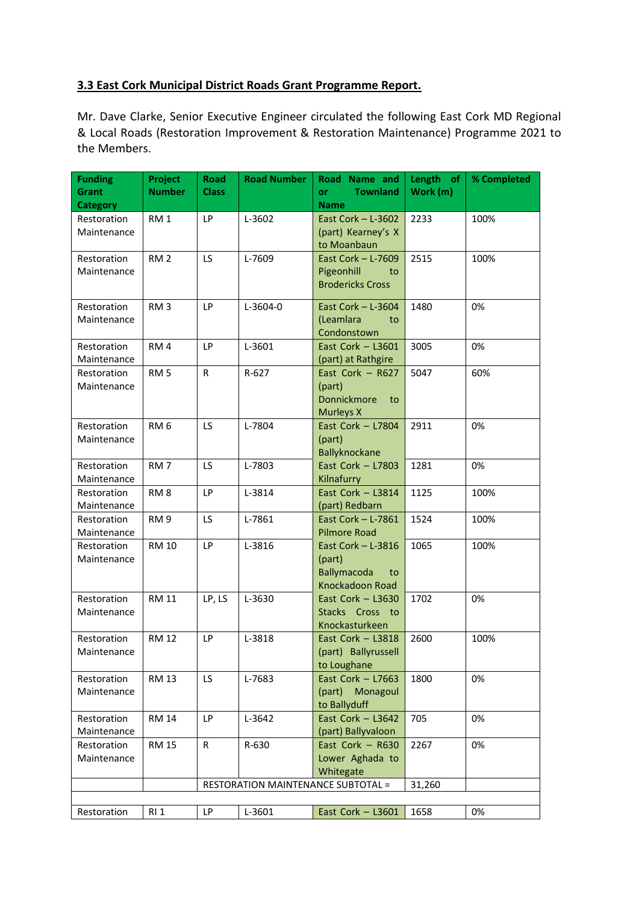### **3.3 East Cork Municipal District Roads Grant Programme Report.**

Mr. Dave Clarke, Senior Executive Engineer circulated the following East Cork MD Regional & Local Roads (Restoration Improvement & Restoration Maintenance) Programme 2021 to the Members.

| <b>Funding</b>             | Project         | Road         | <b>Road Number</b> | Road Name and                             | Length of | % Completed |
|----------------------------|-----------------|--------------|--------------------|-------------------------------------------|-----------|-------------|
| Grant                      | <b>Number</b>   | <b>Class</b> |                    | <b>Townland</b><br><b>or</b>              | Work (m)  |             |
| <b>Category</b>            |                 |              |                    | <b>Name</b>                               |           |             |
| Restoration                | RM <sub>1</sub> | LP           | L-3602             | East Cork $-$ L-3602                      | 2233      | 100%        |
| Maintenance                |                 |              |                    | (part) Kearney's X                        |           |             |
| Restoration                | RM <sub>2</sub> | LS.          | L-7609             | to Moanbaun<br>East Cork $-$ L-7609       | 2515      | 100%        |
| Maintenance                |                 |              |                    | Pigeonhill<br>to                          |           |             |
|                            |                 |              |                    | <b>Brodericks Cross</b>                   |           |             |
|                            |                 |              |                    |                                           |           |             |
| Restoration                | RM <sub>3</sub> | <b>LP</b>    | L-3604-0           | East Cork $-$ L-3604                      | 1480      | 0%          |
| Maintenance                |                 |              |                    | (Leamlara<br>to                           |           |             |
|                            |                 |              |                    | Condonstown                               |           |             |
| Restoration                | RM <sub>4</sub> | <b>LP</b>    | L-3601             | East Cork $-$ L3601                       | 3005      | 0%          |
| Maintenance                |                 |              |                    | (part) at Rathgire                        |           |             |
| Restoration                | RM <sub>5</sub> | R            | R-627              | East Cork $-$ R627                        | 5047      | 60%         |
| Maintenance                |                 |              |                    | (part)                                    |           |             |
|                            |                 |              |                    | Donnickmore<br>to                         |           |             |
|                            |                 |              |                    | Murleys X                                 |           |             |
| Restoration                | RM <sub>6</sub> | LS.          | L-7804             | East Cork - L7804                         | 2911      | 0%          |
| Maintenance                |                 |              |                    | (part)                                    |           |             |
|                            | RM <sub>7</sub> | LS.          |                    | Ballyknockane<br>East Cork $-$ L7803      | 1281      | 0%          |
| Restoration<br>Maintenance |                 |              | L-7803             | Kilnafurry                                |           |             |
| Restoration                | RM <sub>8</sub> | LP           | L-3814             | East Cork - L3814                         | 1125      | 100%        |
| Maintenance                |                 |              |                    | (part) Redbarn                            |           |             |
| Restoration                | RM <sub>9</sub> | LS.          | L-7861             | East Cork $-$ L-7861                      | 1524      | 100%        |
| Maintenance                |                 |              |                    | <b>Pilmore Road</b>                       |           |             |
| Restoration                | <b>RM 10</b>    | <b>LP</b>    | L-3816             | East Cork $-$ L-3816                      | 1065      | 100%        |
| Maintenance                |                 |              |                    | (part)                                    |           |             |
|                            |                 |              |                    | Ballymacoda<br>to                         |           |             |
|                            |                 |              |                    | Knockadoon Road                           |           |             |
| Restoration                | <b>RM 11</b>    | LP, LS       | L-3630             | East Cork $-$ L3630                       | 1702      | 0%          |
| Maintenance                |                 |              |                    | Stacks Cross to                           |           |             |
|                            |                 |              |                    | Knockasturkeen                            |           |             |
| Restoration                | <b>RM 12</b>    | LP           | L-3818             | East Cork $-$ L3818                       | 2600      | 100%        |
| Maintenance                |                 |              |                    | (part) Ballyrussell                       |           |             |
|                            |                 |              |                    | to Loughane                               |           |             |
| Restoration                | <b>RM 13</b>    | LS           | L-7683             | East Cork $-$ L7663                       | 1800      | 0%          |
| Maintenance                |                 |              |                    | (part) Monagoul                           |           |             |
|                            |                 |              |                    | to Ballyduff                              |           |             |
| Restoration<br>Maintenance | <b>RM 14</b>    | LP           | L-3642             | East Cork $-$ L3642<br>(part) Ballyvaloon | 705       | 0%          |
| Restoration                | <b>RM 15</b>    | R            | R-630              | East Cork $-$ R630                        | 2267      | 0%          |
| Maintenance                |                 |              |                    | Lower Aghada to                           |           |             |
|                            |                 |              |                    | Whitegate                                 |           |             |
|                            |                 |              |                    | <b>RESTORATION MAINTENANCE SUBTOTAL =</b> | 31,260    |             |
|                            |                 |              |                    |                                           |           |             |
| Restoration                | RI <sub>1</sub> | LP           | L-3601             | East Cork $-$ L3601                       | 1658      | 0%          |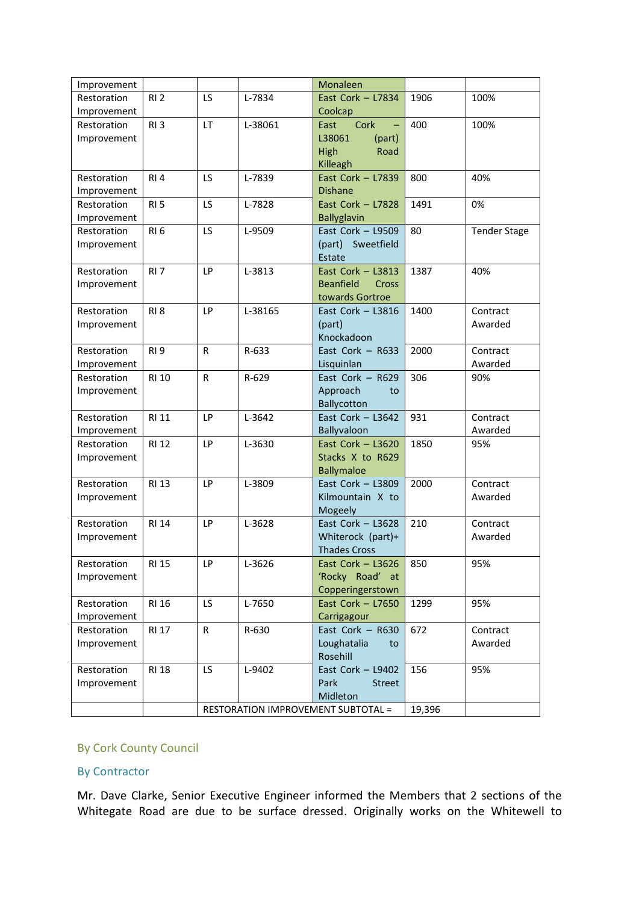| Improvement |                 |           |         | Monaleen                           |        |                     |
|-------------|-----------------|-----------|---------|------------------------------------|--------|---------------------|
| Restoration | RI <sub>2</sub> | LS        | L-7834  | East Cork - L7834                  | 1906   | 100%                |
| Improvement |                 |           |         | Coolcap                            |        |                     |
| Restoration | RI <sub>3</sub> | LT.       | L-38061 | Cork<br>East                       | 400    | 100%                |
| Improvement |                 |           |         | L38061<br>(part)                   |        |                     |
|             |                 |           |         | Road<br>High                       |        |                     |
|             |                 |           |         | Killeagh                           |        |                     |
| Restoration | RI4             | LS.       | L-7839  | East Cork $-$ L7839                | 800    | 40%                 |
| Improvement |                 |           |         | <b>Dishane</b>                     |        |                     |
| Restoration | RI <sub>5</sub> | LS        | L-7828  | East Cork $-17828$                 | 1491   | 0%                  |
| Improvement |                 |           |         | <b>Ballyglavin</b>                 |        |                     |
| Restoration | <b>RI6</b>      | LS.       | L-9509  | East Cork - L9509                  | 80     | <b>Tender Stage</b> |
| Improvement |                 |           |         | (part) Sweetfield                  |        |                     |
|             |                 |           |         | Estate                             |        |                     |
| Restoration | RI <sub>7</sub> | LP        | L-3813  | East Cork $-$ L3813                | 1387   | 40%                 |
| Improvement |                 |           |         | <b>Beanfield</b><br><b>Cross</b>   |        |                     |
|             |                 |           |         | towards Gortroe                    |        |                     |
| Restoration | RI <sub>8</sub> | LP        | L-38165 | East Cork $-$ L3816                | 1400   | Contract            |
| Improvement |                 |           |         | (part)                             |        | Awarded             |
|             |                 |           |         | Knockadoon                         |        |                     |
| Restoration | RI <sub>9</sub> | R         | R-633   | East Cork $-$ R633                 | 2000   | Contract            |
| Improvement |                 |           |         | Lisquinlan                         |        | Awarded             |
| Restoration | <b>RI 10</b>    | R         | R-629   | East Cork $-$ R629                 | 306    | 90%                 |
| Improvement |                 |           |         | Approach<br>to                     |        |                     |
|             |                 |           |         | Ballycotton                        |        |                     |
| Restoration | <b>RI 11</b>    | LP        | L-3642  | East Cork $-$ L3642                | 931    | Contract            |
| Improvement |                 |           |         | Ballyvaloon                        |        | Awarded             |
| Restoration | <b>RI 12</b>    | <b>LP</b> | L-3630  | East Cork $-$ L3620                | 1850   | 95%                 |
| Improvement |                 |           |         | Stacks X to R629                   |        |                     |
|             |                 |           |         | <b>Ballymaloe</b>                  |        |                     |
| Restoration | <b>RI 13</b>    | LP        | L-3809  | East Cork $-$ L3809                | 2000   | Contract            |
| Improvement |                 |           |         | Kilmountain X to                   |        | Awarded             |
|             |                 |           |         | Mogeely                            |        |                     |
| Restoration | <b>RI 14</b>    | LP        | L-3628  | East Cork $-$ L3628                | 210    | Contract            |
| Improvement |                 |           |         | Whiterock (part)+                  |        | Awarded             |
|             |                 |           |         | <b>Thades Cross</b>                |        |                     |
| Restoration | <b>RI 15</b>    | LP        | L-3626  | East Cork - L3626                  | 850    | 95%                 |
| Improvement |                 |           |         | 'Rocky Road' at                    |        |                     |
|             |                 |           |         | Copperingerstown                   |        |                     |
| Restoration | <b>RI 16</b>    | LS.       | L-7650  | East Cork $-$ L7650                | 1299   | 95%                 |
| Improvement |                 |           |         | Carrigagour                        |        |                     |
| Restoration | <b>RI 17</b>    | R         | R-630   | East Cork $-$ R630                 | 672    | Contract            |
| Improvement |                 |           |         | Loughatalia<br>to                  |        | Awarded             |
|             |                 |           |         | Rosehill                           |        |                     |
| Restoration | <b>RI 18</b>    | LS.       | L-9402  | East Cork - L9402                  | 156    | 95%                 |
| Improvement |                 |           |         | Park<br><b>Street</b>              |        |                     |
|             |                 |           |         | Midleton                           |        |                     |
|             |                 |           |         | RESTORATION IMPROVEMENT SUBTOTAL = | 19,396 |                     |

# By Cork County Council

#### By Contractor

Mr. Dave Clarke, Senior Executive Engineer informed the Members that 2 sections of the Whitegate Road are due to be surface dressed. Originally works on the Whitewell to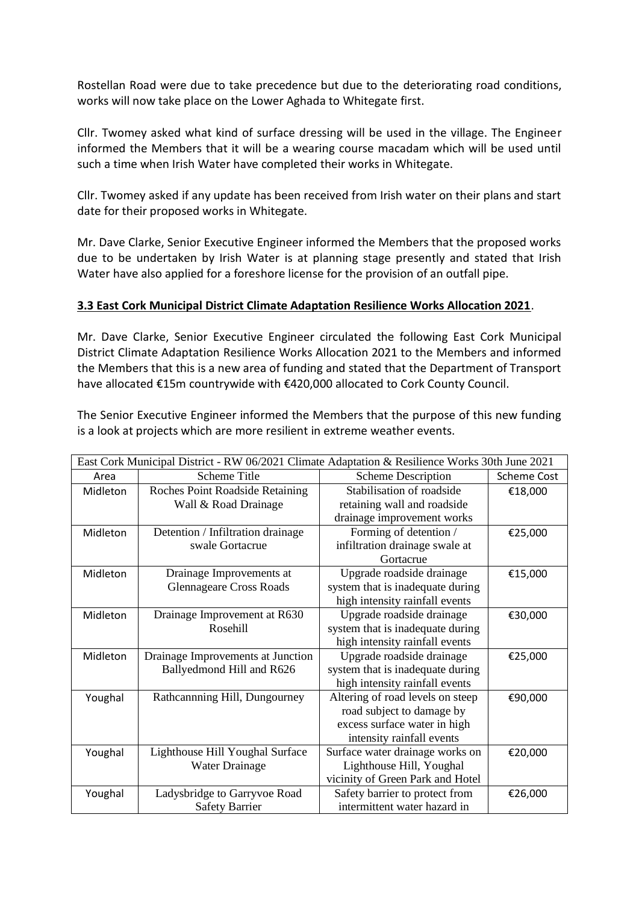Rostellan Road were due to take precedence but due to the deteriorating road conditions, works will now take place on the Lower Aghada to Whitegate first.

Cllr. Twomey asked what kind of surface dressing will be used in the village. The Engineer informed the Members that it will be a wearing course macadam which will be used until such a time when Irish Water have completed their works in Whitegate.

Cllr. Twomey asked if any update has been received from Irish water on their plans and start date for their proposed works in Whitegate.

Mr. Dave Clarke, Senior Executive Engineer informed the Members that the proposed works due to be undertaken by Irish Water is at planning stage presently and stated that Irish Water have also applied for a foreshore license for the provision of an outfall pipe.

#### **3.3 East Cork Municipal District Climate Adaptation Resilience Works Allocation 2021**.

Mr. Dave Clarke, Senior Executive Engineer circulated the following East Cork Municipal District Climate Adaptation Resilience Works Allocation 2021 to the Members and informed the Members that this is a new area of funding and stated that the Department of Transport have allocated €15m countrywide with €420,000 allocated to Cork County Council.

The Senior Executive Engineer informed the Members that the purpose of this new funding is a look at projects which are more resilient in extreme weather events.

| East Cork Municipal District - RW 06/2021 Climate Adaptation & Resilience Works 30th June 2021 |                                   |                                  |         |  |  |
|------------------------------------------------------------------------------------------------|-----------------------------------|----------------------------------|---------|--|--|
| Area                                                                                           | <b>Scheme Title</b>               | <b>Scheme Cost</b>               |         |  |  |
| Midleton                                                                                       | Roches Point Roadside Retaining   | Stabilisation of roadside        | €18,000 |  |  |
|                                                                                                | Wall & Road Drainage              | retaining wall and roadside      |         |  |  |
|                                                                                                |                                   | drainage improvement works       |         |  |  |
| Midleton                                                                                       | Detention / Infiltration drainage | Forming of detention /           | €25,000 |  |  |
|                                                                                                | swale Gortacrue                   | infiltration drainage swale at   |         |  |  |
|                                                                                                |                                   | Gortacrue                        |         |  |  |
| Midleton                                                                                       | Drainage Improvements at          | Upgrade roadside drainage        | €15,000 |  |  |
|                                                                                                | <b>Glennageare Cross Roads</b>    | system that is inadequate during |         |  |  |
|                                                                                                |                                   | high intensity rainfall events   |         |  |  |
| Midleton                                                                                       | Drainage Improvement at R630      | Upgrade roadside drainage        | €30,000 |  |  |
|                                                                                                | Rosehill                          | system that is inadequate during |         |  |  |
|                                                                                                |                                   | high intensity rainfall events   |         |  |  |
| Midleton                                                                                       | Drainage Improvements at Junction | Upgrade roadside drainage        | €25,000 |  |  |
|                                                                                                | Ballyedmond Hill and R626         | system that is inadequate during |         |  |  |
|                                                                                                |                                   | high intensity rainfall events   |         |  |  |
| Youghal                                                                                        | Rathcannning Hill, Dungourney     | Altering of road levels on steep | €90,000 |  |  |
|                                                                                                |                                   | road subject to damage by        |         |  |  |
|                                                                                                |                                   | excess surface water in high     |         |  |  |
|                                                                                                |                                   | intensity rainfall events        |         |  |  |
| Youghal                                                                                        | Lighthouse Hill Youghal Surface   | Surface water drainage works on  | €20,000 |  |  |
|                                                                                                | <b>Water Drainage</b>             | Lighthouse Hill, Youghal         |         |  |  |
|                                                                                                |                                   | vicinity of Green Park and Hotel |         |  |  |
| Youghal                                                                                        | Ladysbridge to Garryvoe Road      | Safety barrier to protect from   | €26,000 |  |  |
|                                                                                                | <b>Safety Barrier</b>             | intermittent water hazard in     |         |  |  |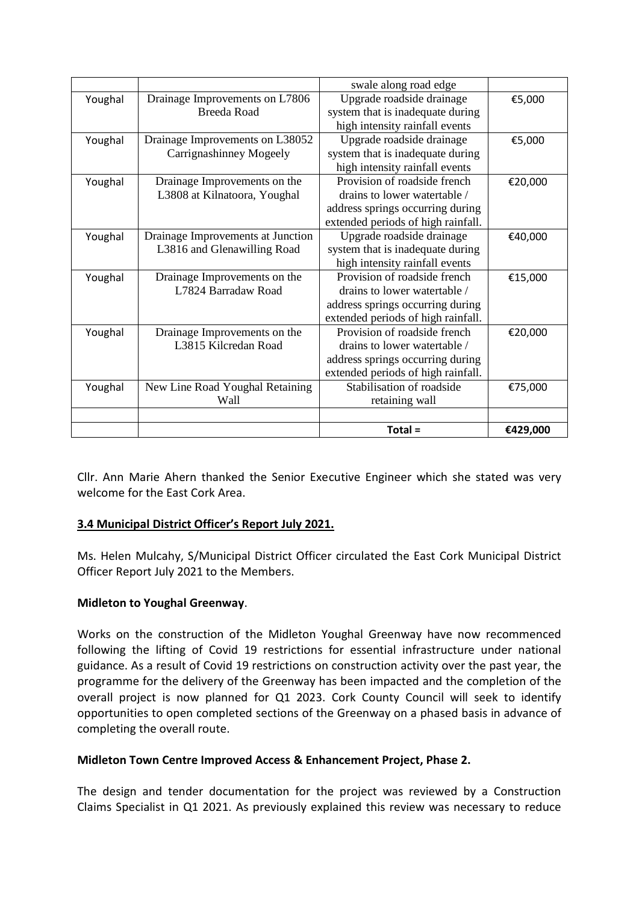|         |                                   | swale along road edge              |          |
|---------|-----------------------------------|------------------------------------|----------|
| Youghal | Drainage Improvements on L7806    | Upgrade roadside drainage          | €5,000   |
|         | Breeda Road                       | system that is inadequate during   |          |
|         |                                   | high intensity rainfall events     |          |
| Youghal | Drainage Improvements on L38052   | Upgrade roadside drainage          | €5,000   |
|         | Carrignashinney Mogeely           | system that is inadequate during   |          |
|         |                                   | high intensity rainfall events     |          |
| Youghal | Drainage Improvements on the      | Provision of roadside french       | €20,000  |
|         | L3808 at Kilnatoora, Youghal      | drains to lower watertable /       |          |
|         |                                   | address springs occurring during   |          |
|         |                                   | extended periods of high rainfall. |          |
| Youghal | Drainage Improvements at Junction | Upgrade roadside drainage          | €40,000  |
|         | L3816 and Glenawilling Road       | system that is inadequate during   |          |
|         |                                   | high intensity rainfall events     |          |
| Youghal | Drainage Improvements on the      | Provision of roadside french       | €15,000  |
|         | L7824 Barradaw Road               | drains to lower watertable /       |          |
|         |                                   | address springs occurring during   |          |
|         |                                   | extended periods of high rainfall. |          |
| Youghal | Drainage Improvements on the      | Provision of roadside french       | €20,000  |
|         | L3815 Kilcredan Road              | drains to lower watertable /       |          |
|         |                                   | address springs occurring during   |          |
|         |                                   | extended periods of high rainfall. |          |
| Youghal | New Line Road Youghal Retaining   | Stabilisation of roadside          | €75,000  |
|         | Wall                              | retaining wall                     |          |
|         |                                   |                                    |          |
|         |                                   | Total =                            | €429,000 |

Cllr. Ann Marie Ahern thanked the Senior Executive Engineer which she stated was very welcome for the East Cork Area.

### **3.4 Municipal District Officer's Report July 2021.**

Ms. Helen Mulcahy, S/Municipal District Officer circulated the East Cork Municipal District Officer Report July 2021 to the Members.

### **Midleton to Youghal Greenway**.

Works on the construction of the Midleton Youghal Greenway have now recommenced following the lifting of Covid 19 restrictions for essential infrastructure under national guidance. As a result of Covid 19 restrictions on construction activity over the past year, the programme for the delivery of the Greenway has been impacted and the completion of the overall project is now planned for Q1 2023. Cork County Council will seek to identify opportunities to open completed sections of the Greenway on a phased basis in advance of completing the overall route.

### **Midleton Town Centre Improved Access & Enhancement Project, Phase 2.**

The design and tender documentation for the project was reviewed by a Construction Claims Specialist in Q1 2021. As previously explained this review was necessary to reduce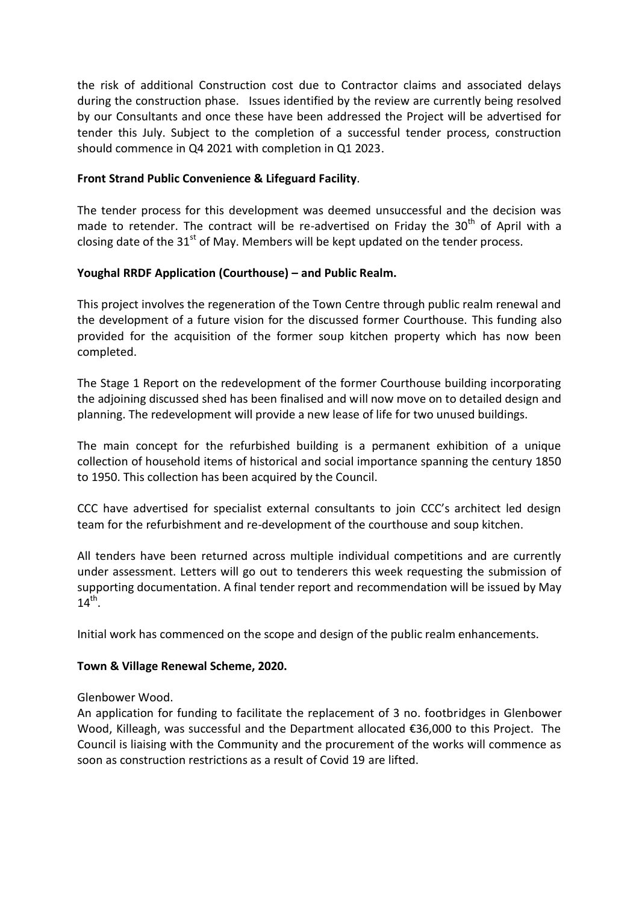the risk of additional Construction cost due to Contractor claims and associated delays during the construction phase. Issues identified by the review are currently being resolved by our Consultants and once these have been addressed the Project will be advertised for tender this July. Subject to the completion of a successful tender process, construction should commence in Q4 2021 with completion in Q1 2023.

#### **Front Strand Public Convenience & Lifeguard Facility**.

The tender process for this development was deemed unsuccessful and the decision was made to retender. The contract will be re-advertised on Friday the 30<sup>th</sup> of April with a closing date of the  $31<sup>st</sup>$  of May. Members will be kept updated on the tender process.

### **Youghal RRDF Application (Courthouse) – and Public Realm.**

This project involves the regeneration of the Town Centre through public realm renewal and the development of a future vision for the discussed former Courthouse. This funding also provided for the acquisition of the former soup kitchen property which has now been completed.

The Stage 1 Report on the redevelopment of the former Courthouse building incorporating the adjoining discussed shed has been finalised and will now move on to detailed design and planning. The redevelopment will provide a new lease of life for two unused buildings.

The main concept for the refurbished building is a permanent exhibition of a unique collection of household items of historical and social importance spanning the century 1850 to 1950. This collection has been acquired by the Council.

CCC have advertised for specialist external consultants to join CCC's architect led design team for the refurbishment and re-development of the courthouse and soup kitchen.

All tenders have been returned across multiple individual competitions and are currently under assessment. Letters will go out to tenderers this week requesting the submission of supporting documentation. A final tender report and recommendation will be issued by May  $14^{th}$ .

Initial work has commenced on the scope and design of the public realm enhancements.

#### **Town & Village Renewal Scheme, 2020.**

Glenbower Wood.

An application for funding to facilitate the replacement of 3 no. footbridges in Glenbower Wood, Killeagh, was successful and the Department allocated €36,000 to this Project. The Council is liaising with the Community and the procurement of the works will commence as soon as construction restrictions as a result of Covid 19 are lifted.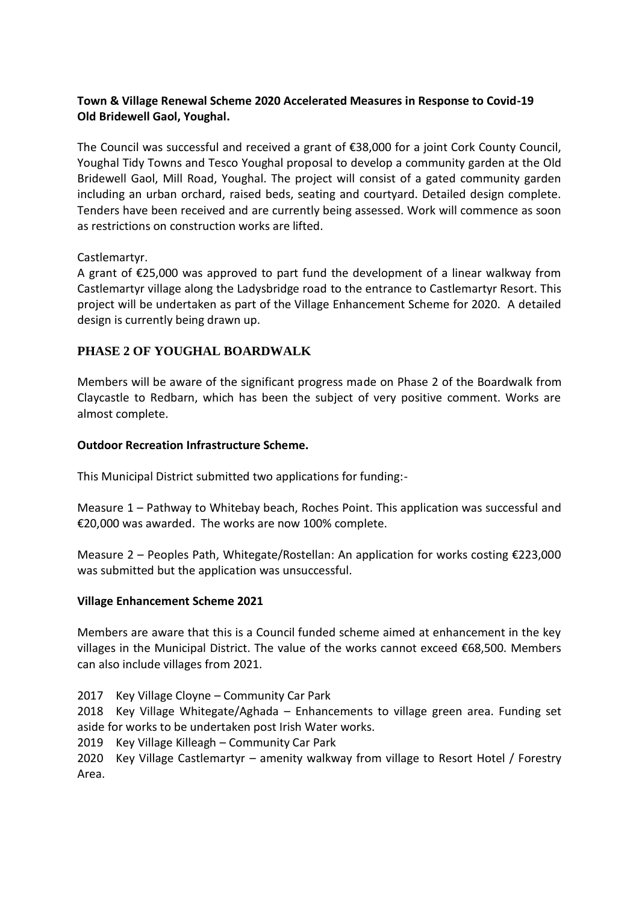### **Town & Village Renewal Scheme 2020 Accelerated Measures in Response to Covid-19 Old Bridewell Gaol, Youghal.**

The Council was successful and received a grant of €38,000 for a joint Cork County Council, Youghal Tidy Towns and Tesco Youghal proposal to develop a community garden at the Old Bridewell Gaol, Mill Road, Youghal. The project will consist of a gated community garden including an urban orchard, raised beds, seating and courtyard. Detailed design complete. Tenders have been received and are currently being assessed. Work will commence as soon as restrictions on construction works are lifted.

### Castlemartyr.

A grant of €25,000 was approved to part fund the development of a linear walkway from Castlemartyr village along the Ladysbridge road to the entrance to Castlemartyr Resort. This project will be undertaken as part of the Village Enhancement Scheme for 2020. A detailed design is currently being drawn up.

### **PHASE 2 OF YOUGHAL BOARDWALK**

Members will be aware of the significant progress made on Phase 2 of the Boardwalk from Claycastle to Redbarn, which has been the subject of very positive comment. Works are almost complete.

### **Outdoor Recreation Infrastructure Scheme.**

This Municipal District submitted two applications for funding:-

Measure 1 – Pathway to Whitebay beach, Roches Point. This application was successful and €20,000 was awarded. The works are now 100% complete.

Measure 2 – Peoples Path, Whitegate/Rostellan: An application for works costing €223,000 was submitted but the application was unsuccessful.

#### **Village Enhancement Scheme 2021**

Members are aware that this is a Council funded scheme aimed at enhancement in the key villages in the Municipal District. The value of the works cannot exceed €68,500. Members can also include villages from 2021.

2017 Key Village Cloyne – Community Car Park

2018 Key Village Whitegate/Aghada – Enhancements to village green area. Funding set aside for works to be undertaken post Irish Water works.

2019 Key Village Killeagh – Community Car Park

2020 Key Village Castlemartyr – amenity walkway from village to Resort Hotel / Forestry Area.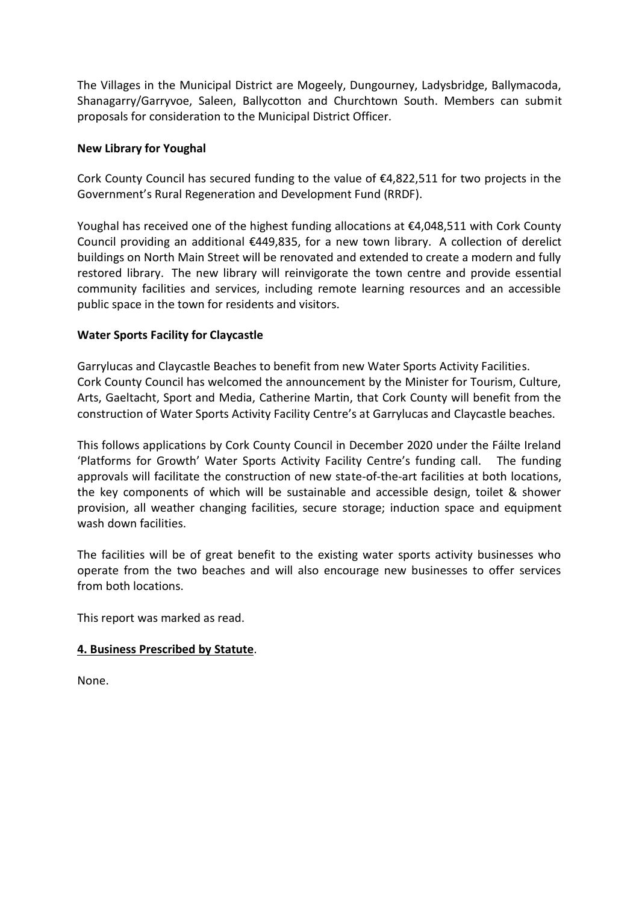The Villages in the Municipal District are Mogeely, Dungourney, Ladysbridge, Ballymacoda, Shanagarry/Garryvoe, Saleen, Ballycotton and Churchtown South. Members can submit proposals for consideration to the Municipal District Officer.

#### **New Library for Youghal**

Cork County Council has secured funding to the value of  $\epsilon$ 4,822,511 for two projects in the Government's Rural Regeneration and Development Fund (RRDF).

Youghal has received one of the highest funding allocations at €4,048,511 with Cork County Council providing an additional  $\epsilon$ 449,835, for a new town library. A collection of derelict buildings on North Main Street will be renovated and extended to create a modern and fully restored library. The new library will reinvigorate the town centre and provide essential community facilities and services, including remote learning resources and an accessible public space in the town for residents and visitors.

#### **Water Sports Facility for Claycastle**

Garrylucas and Claycastle Beaches to benefit from new Water Sports Activity Facilities. Cork County Council has welcomed the announcement by the Minister for Tourism, Culture, Arts, Gaeltacht, Sport and Media, Catherine Martin, that Cork County will benefit from the construction of Water Sports Activity Facility Centre's at Garrylucas and Claycastle beaches.

This follows applications by Cork County Council in December 2020 under the Fáilte Ireland 'Platforms for Growth' Water Sports Activity Facility Centre's funding call. The funding approvals will facilitate the construction of new state-of-the-art facilities at both locations, the key components of which will be sustainable and accessible design, toilet & shower provision, all weather changing facilities, secure storage; induction space and equipment wash down facilities.

The facilities will be of great benefit to the existing water sports activity businesses who operate from the two beaches and will also encourage new businesses to offer services from both locations.

This report was marked as read.

### **4. Business Prescribed by Statute**.

None.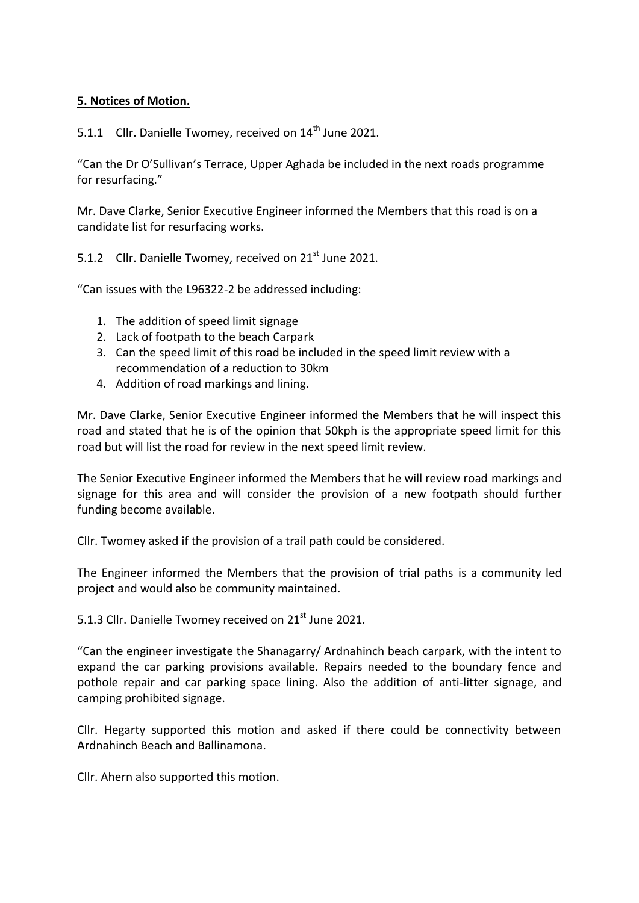### **5. Notices of Motion.**

5.1.1 Cllr. Danielle Twomey, received on  $14<sup>th</sup>$  June 2021.

"Can the Dr O'Sullivan's Terrace, Upper Aghada be included in the next roads programme for resurfacing."

Mr. Dave Clarke, Senior Executive Engineer informed the Members that this road is on a candidate list for resurfacing works.

5.1.2 Cllr. Danielle Twomey, received on 21<sup>st</sup> June 2021.

"Can issues with the L96322-2 be addressed including:

- 1. The addition of speed limit signage
- 2. Lack of footpath to the beach Carpark
- 3. Can the speed limit of this road be included in the speed limit review with a recommendation of a reduction to 30km
- 4. Addition of road markings and lining.

Mr. Dave Clarke, Senior Executive Engineer informed the Members that he will inspect this road and stated that he is of the opinion that 50kph is the appropriate speed limit for this road but will list the road for review in the next speed limit review.

The Senior Executive Engineer informed the Members that he will review road markings and signage for this area and will consider the provision of a new footpath should further funding become available.

Cllr. Twomey asked if the provision of a trail path could be considered.

The Engineer informed the Members that the provision of trial paths is a community led project and would also be community maintained.

5.1.3 Cllr. Danielle Twomey received on 21<sup>st</sup> June 2021.

"Can the engineer investigate the Shanagarry/ Ardnahinch beach carpark, with the intent to expand the car parking provisions available. Repairs needed to the boundary fence and pothole repair and car parking space lining. Also the addition of anti-litter signage, and camping prohibited signage.

Cllr. Hegarty supported this motion and asked if there could be connectivity between Ardnahinch Beach and Ballinamona.

Cllr. Ahern also supported this motion.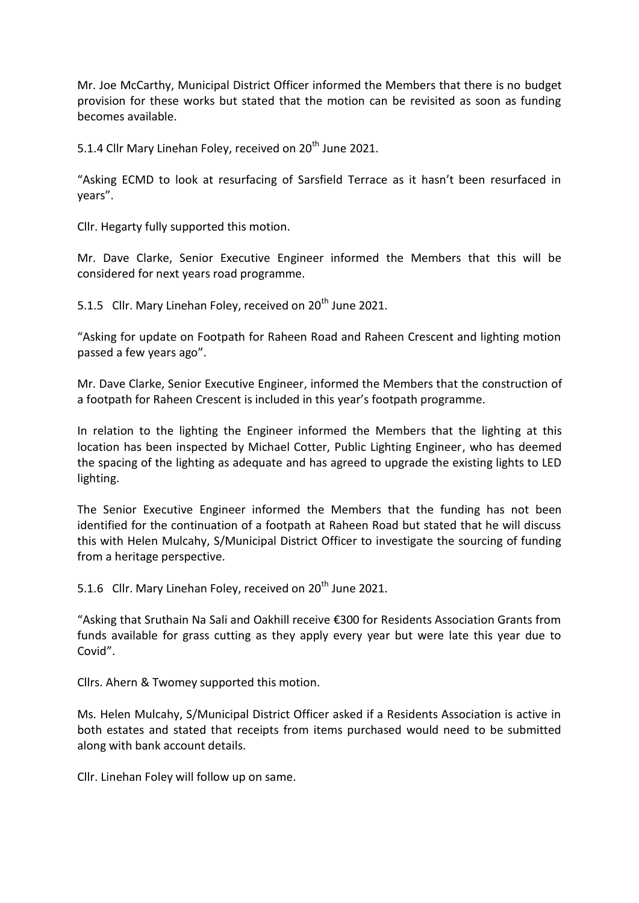Mr. Joe McCarthy, Municipal District Officer informed the Members that there is no budget provision for these works but stated that the motion can be revisited as soon as funding becomes available.

5.1.4 Cllr Mary Linehan Foley, received on 20<sup>th</sup> June 2021.

"Asking ECMD to look at resurfacing of Sarsfield Terrace as it hasn't been resurfaced in years".

Cllr. Hegarty fully supported this motion.

Mr. Dave Clarke, Senior Executive Engineer informed the Members that this will be considered for next years road programme.

5.1.5 Cllr. Mary Linehan Foley, received on 20<sup>th</sup> June 2021.

"Asking for update on Footpath for Raheen Road and Raheen Crescent and lighting motion passed a few years ago".

Mr. Dave Clarke, Senior Executive Engineer, informed the Members that the construction of a footpath for Raheen Crescent is included in this year's footpath programme.

In relation to the lighting the Engineer informed the Members that the lighting at this location has been inspected by Michael Cotter, Public Lighting Engineer, who has deemed the spacing of the lighting as adequate and has agreed to upgrade the existing lights to LED lighting.

The Senior Executive Engineer informed the Members that the funding has not been identified for the continuation of a footpath at Raheen Road but stated that he will discuss this with Helen Mulcahy, S/Municipal District Officer to investigate the sourcing of funding from a heritage perspective.

5.1.6 Cllr. Mary Linehan Foley, received on 20<sup>th</sup> June 2021.

"Asking that Sruthain Na Sali and Oakhill receive €300 for Residents Association Grants from funds available for grass cutting as they apply every year but were late this year due to Covid".

Cllrs. Ahern & Twomey supported this motion.

Ms. Helen Mulcahy, S/Municipal District Officer asked if a Residents Association is active in both estates and stated that receipts from items purchased would need to be submitted along with bank account details.

Cllr. Linehan Foley will follow up on same.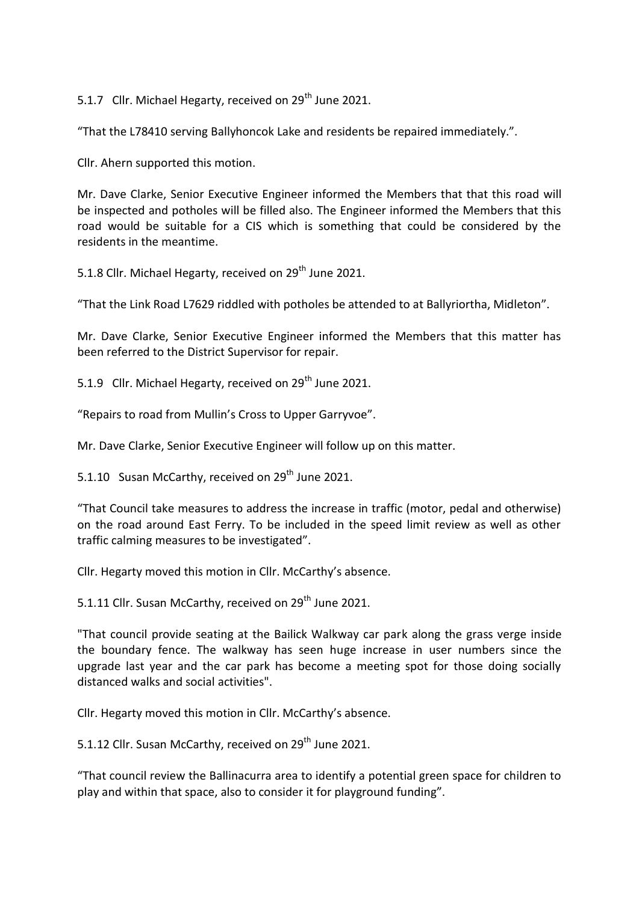5.1.7 Cllr. Michael Hegarty, received on  $29<sup>th</sup>$  June 2021.

"That the L78410 serving Ballyhoncok Lake and residents be repaired immediately.".

Cllr. Ahern supported this motion.

Mr. Dave Clarke, Senior Executive Engineer informed the Members that that this road will be inspected and potholes will be filled also. The Engineer informed the Members that this road would be suitable for a CIS which is something that could be considered by the residents in the meantime.

5.1.8 Cllr. Michael Hegarty, received on  $29<sup>th</sup>$  June 2021.

"That the Link Road L7629 riddled with potholes be attended to at Ballyriortha, Midleton".

Mr. Dave Clarke, Senior Executive Engineer informed the Members that this matter has been referred to the District Supervisor for repair.

5.1.9 Cllr. Michael Hegarty, received on  $29<sup>th</sup>$  June 2021.

"Repairs to road from Mullin's Cross to Upper Garryvoe".

Mr. Dave Clarke, Senior Executive Engineer will follow up on this matter.

5.1.10 Susan McCarthy, received on  $29<sup>th</sup>$  June 2021.

"That Council take measures to address the increase in traffic (motor, pedal and otherwise) on the road around East Ferry. To be included in the speed limit review as well as other traffic calming measures to be investigated".

Cllr. Hegarty moved this motion in Cllr. McCarthy's absence.

5.1.11 Cllr. Susan McCarthy, received on 29<sup>th</sup> June 2021.

"That council provide seating at the Bailick Walkway car park along the grass verge inside the boundary fence. The walkway has seen huge increase in user numbers since the upgrade last year and the car park has become a meeting spot for those doing socially distanced walks and social activities".

Cllr. Hegarty moved this motion in Cllr. McCarthy's absence.

5.1.12 Cllr. Susan McCarthy, received on 29<sup>th</sup> June 2021.

"That council review the Ballinacurra area to identify a potential green space for children to play and within that space, also to consider it for playground funding".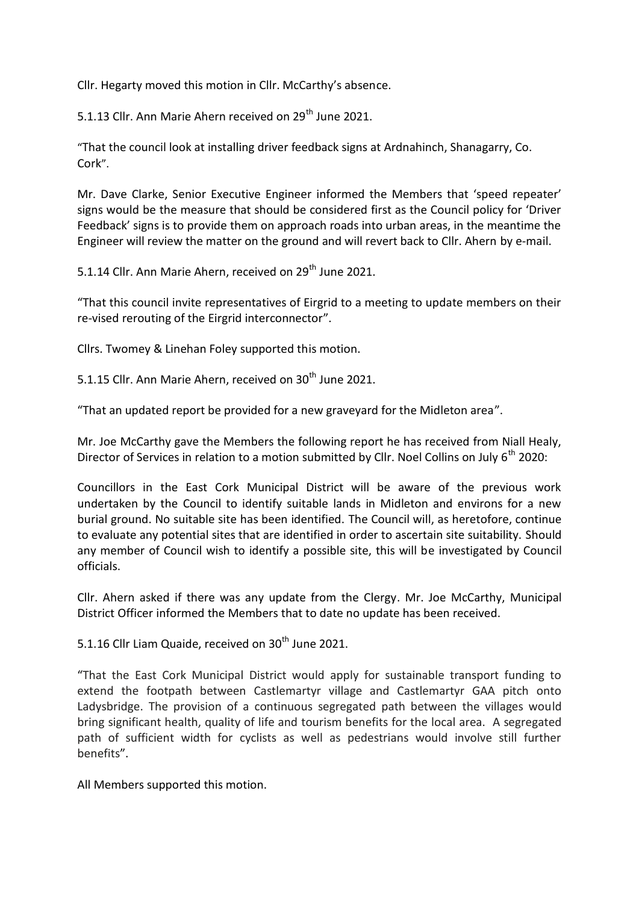Cllr. Hegarty moved this motion in Cllr. McCarthy's absence.

5.1.13 Cllr. Ann Marie Ahern received on 29<sup>th</sup> June 2021.

"That the council look at installing driver feedback signs at Ardnahinch, Shanagarry, Co. Cork".

Mr. Dave Clarke, Senior Executive Engineer informed the Members that 'speed repeater' signs would be the measure that should be considered first as the Council policy for 'Driver Feedback' signs is to provide them on approach roads into urban areas, in the meantime the Engineer will review the matter on the ground and will revert back to Cllr. Ahern by e-mail.

5.1.14 Cllr. Ann Marie Ahern, received on 29<sup>th</sup> June 2021.

"That this council invite representatives of Eirgrid to a meeting to update members on their re-vised rerouting of the Eirgrid interconnector".

Cllrs. Twomey & Linehan Foley supported this motion.

5.1.15 Cllr. Ann Marie Ahern, received on 30<sup>th</sup> June 2021.

"That an updated report be provided for a new graveyard for the Midleton area".

Mr. Joe McCarthy gave the Members the following report he has received from Niall Healy, Director of Services in relation to a motion submitted by Cllr. Noel Collins on July 6<sup>th</sup> 2020:

Councillors in the East Cork Municipal District will be aware of the previous work undertaken by the Council to identify suitable lands in Midleton and environs for a new burial ground. No suitable site has been identified. The Council will, as heretofore, continue to evaluate any potential sites that are identified in order to ascertain site suitability. Should any member of Council wish to identify a possible site, this will be investigated by Council officials.

Cllr. Ahern asked if there was any update from the Clergy. Mr. Joe McCarthy, Municipal District Officer informed the Members that to date no update has been received.

5.1.16 Cllr Liam Quaide, received on 30<sup>th</sup> June 2021.

"That the East Cork Municipal District would apply for sustainable transport funding to extend the footpath between Castlemartyr village and Castlemartyr GAA pitch onto Ladysbridge. The provision of a continuous segregated path between the villages would bring significant health, quality of life and tourism benefits for the local area. A segregated path of sufficient width for cyclists as well as pedestrians would involve still further benefits".

All Members supported this motion.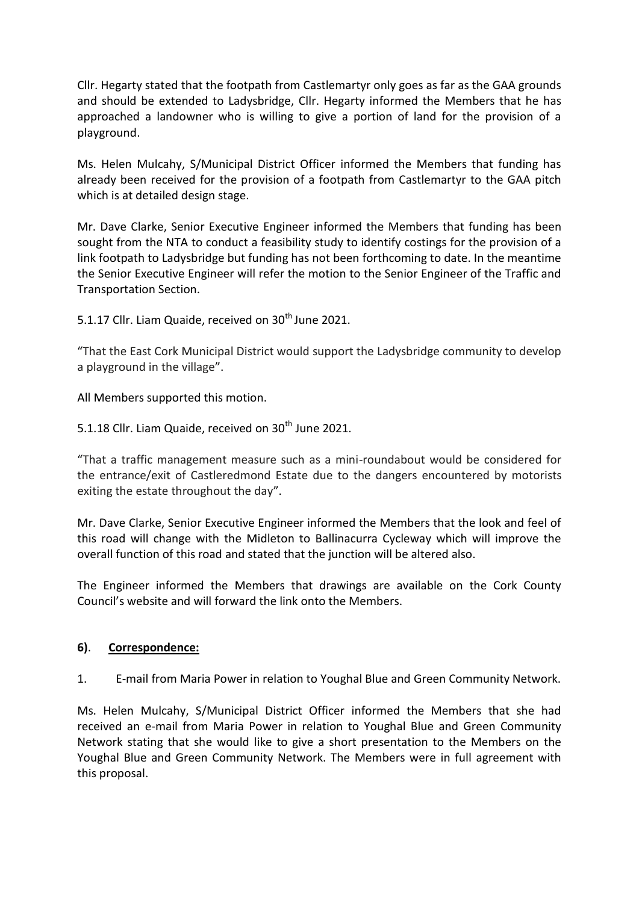Cllr. Hegarty stated that the footpath from Castlemartyr only goes as far as the GAA grounds and should be extended to Ladysbridge, Cllr. Hegarty informed the Members that he has approached a landowner who is willing to give a portion of land for the provision of a playground.

Ms. Helen Mulcahy, S/Municipal District Officer informed the Members that funding has already been received for the provision of a footpath from Castlemartyr to the GAA pitch which is at detailed design stage.

Mr. Dave Clarke, Senior Executive Engineer informed the Members that funding has been sought from the NTA to conduct a feasibility study to identify costings for the provision of a link footpath to Ladysbridge but funding has not been forthcoming to date. In the meantime the Senior Executive Engineer will refer the motion to the Senior Engineer of the Traffic and Transportation Section.

5.1.17 Cllr. Liam Quaide, received on 30<sup>th</sup> June 2021.

"That the East Cork Municipal District would support the Ladysbridge community to develop a playground in the village".

All Members supported this motion.

5.1.18 Cllr. Liam Quaide, received on 30<sup>th</sup> June 2021.

"That a traffic management measure such as a mini-roundabout would be considered for the entrance/exit of Castleredmond Estate due to the dangers encountered by motorists exiting the estate throughout the day".

Mr. Dave Clarke, Senior Executive Engineer informed the Members that the look and feel of this road will change with the Midleton to Ballinacurra Cycleway which will improve the overall function of this road and stated that the junction will be altered also.

The Engineer informed the Members that drawings are available on the Cork County Council's website and will forward the link onto the Members.

### **6)**. **Correspondence:**

1. E-mail from Maria Power in relation to Youghal Blue and Green Community Network.

Ms. Helen Mulcahy, S/Municipal District Officer informed the Members that she had received an e-mail from Maria Power in relation to Youghal Blue and Green Community Network stating that she would like to give a short presentation to the Members on the Youghal Blue and Green Community Network. The Members were in full agreement with this proposal.